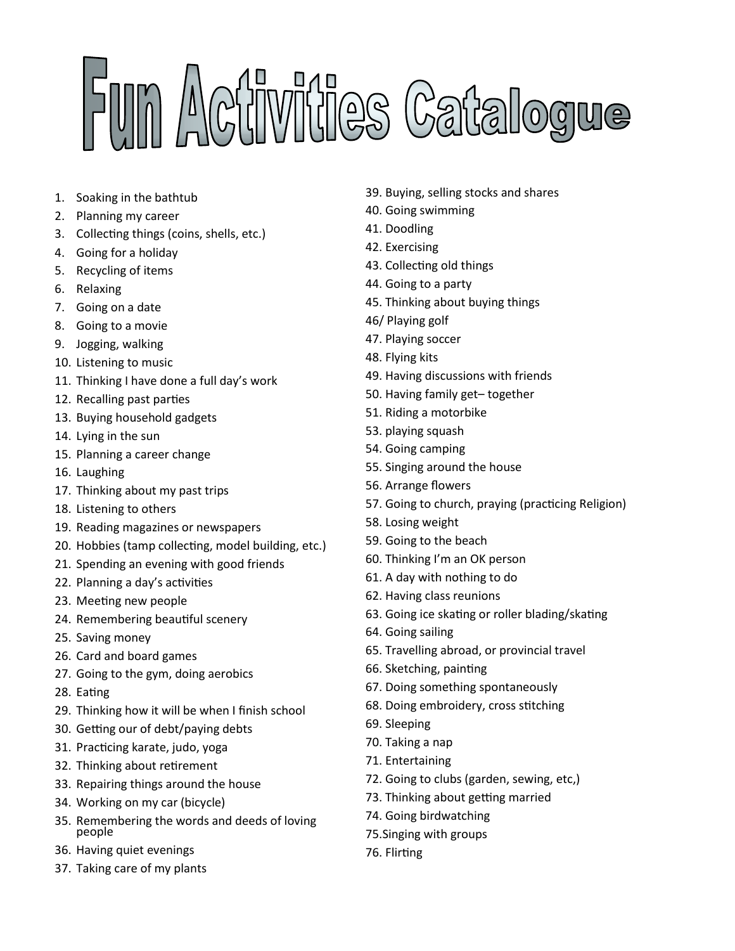## FUM Activities Catalogue

- 1. Soaking in the bathtub
- 2. Planning my career
- 3. Collecting things (coins, shells, etc.)
- 4. Going for a holiday
- 5. Recycling of items
- 6. Relaxing
- 7. Going on a date
- 8. Going to a movie
- 9. Jogging, walking
- 10. Listening to music
- 11. Thinking I have done a full day's work
- 12. Recalling past parties
- 13. Buying household gadgets
- 14. Lying in the sun
- 15. Planning a career change
- 16. Laughing
- 17. Thinking about my past trips
- 18. Listening to others
- 19. Reading magazines or newspapers
- 20. Hobbies (tamp collecting, model building, etc.)
- 21. Spending an evening with good friends
- 22. Planning a day's activities
- 23. Meeting new people
- 24. Remembering beautiful scenery
- 25. Saving money
- 26. Card and board games
- 27. Going to the gym, doing aerobics
- 28. Eating
- 29. Thinking how it will be when I finish school
- 30. Getting our of debt/paying debts
- 31. Practicing karate, judo, yoga
- 32. Thinking about retirement
- 33. Repairing things around the house
- 34. Working on my car (bicycle)
- 35. Remembering the words and deeds of loving people
- 36. Having quiet evenings
- 37. Taking care of my plants
- 39. Buying, selling stocks and shares
- 40. Going swimming
- 41. Doodling
- 42. Exercising
- 43. Collecting old things
- 44. Going to a party
- 45. Thinking about buying things
- 46/ Playing golf
- 47. Playing soccer
- 48. Flying kits
- 49. Having discussions with friends
- 50. Having family get– together
- 51. Riding a motorbike
- 53. playing squash
- 54. Going camping
- 55. Singing around the house
- 56. Arrange flowers
- 57. Going to church, praying (practicing Religion)
- 58. Losing weight
- 59. Going to the beach
- 60. Thinking I'm an OK person
- 61. A day with nothing to do
- 62. Having class reunions
- 63. Going ice skating or roller blading/skating
- 64. Going sailing
- 65. Travelling abroad, or provincial travel
- 66. Sketching, painting
- 67. Doing something spontaneously
- 68. Doing embroidery, cross stitching
- 69. Sleeping
- 70. Taking a nap
- 71. Entertaining
- 72. Going to clubs (garden, sewing, etc,)
- 73. Thinking about getting married
- 74. Going birdwatching
- 75.Singing with groups
- 76. Flirting